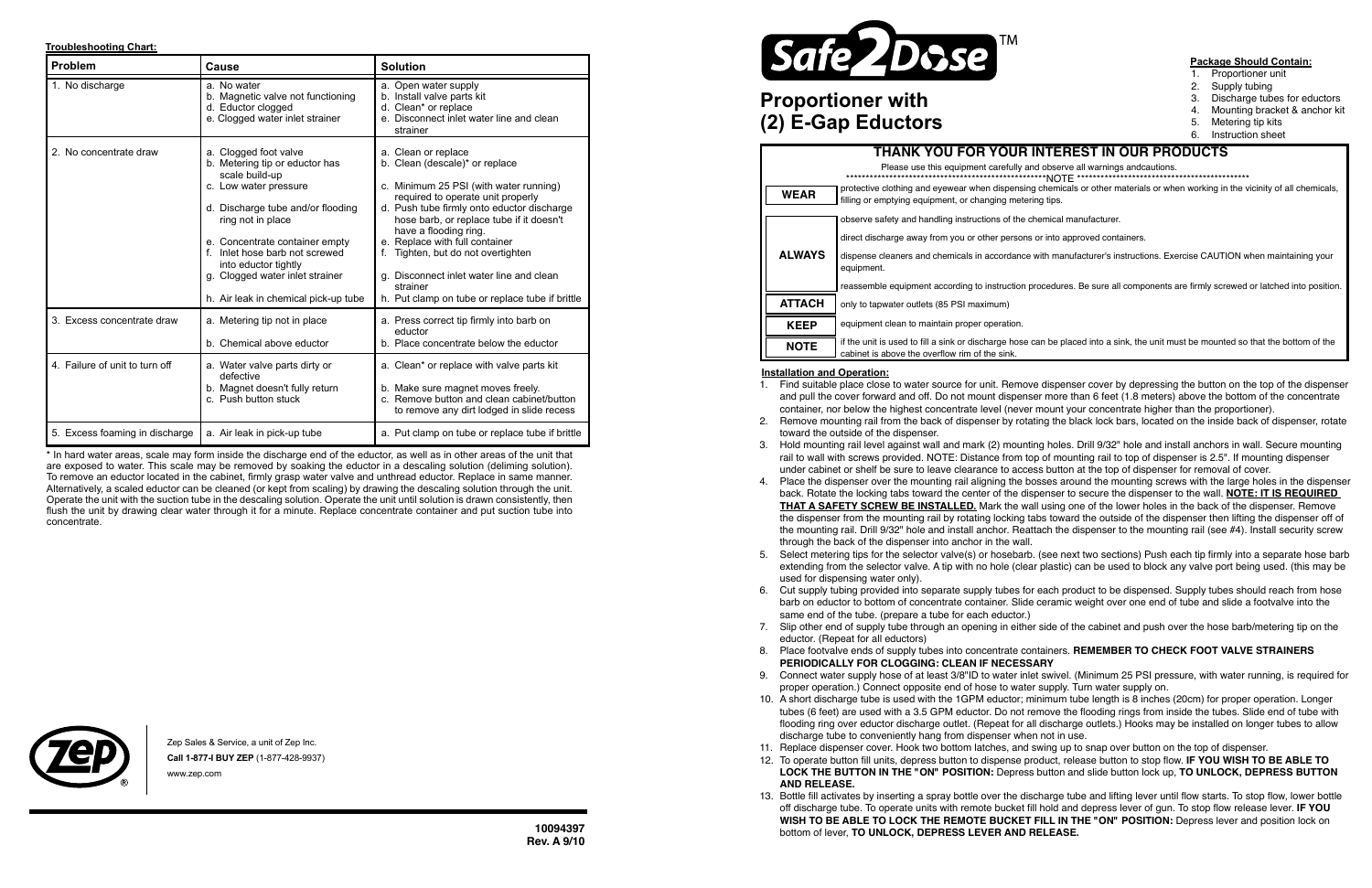**10094397 Rev. A 9/10**

### **Troubleshooting Chart:**

\* In hard water areas, scale may form inside the discharge end of the eductor, as well as in other areas of the unit that are exposed to water. This scale may be removed by soaking the eductor in a descaling solution (deliming solution). To remove an eductor located in the cabinet, firmly grasp water valve and unthread eductor. Replace in same manner. Alternatively, a scaled eductor can be cleaned (or kept from scaling) by drawing the descaling solution through the unit. Operate the unit with the suction tube in the descaling solution. Operate the unit until solution is drawn consistently, then flush the unit by drawing clear water through it for a minute. Replace concentrate container and put suction tube into concentrate.



- Proportioner unit
- 2. Supply tubing
- 3. Discharge tubes for eductors
- 4. Mounting bracket & anchor kit
- 5. Metering tip kits
- 6. Instruction sheet

1. Find suitable place close to water source for unit. Remove dispenser cover by depressing the button on the top of the dispenser and pull the cover forward and off. Do not mount dispenser more than 6 feet (1.8 meters) above the bottom of the concentrate container, nor below the highest concentrate level (never mount your concentrate higher than the proportioner).

2. Remove mounting rail from the back of dispenser by rotating the black lock bars, located on the inside back of dispenser, rotate

| <b>Problem</b>                 | Cause                                                                                                                                                                                                                                                                                                                            | <b>Solution</b><br>a. Open water supply<br>b. Install valve parts kit<br>d. Clean* or replace<br>e. Disconnect inlet water line and clean<br>strainer                                                                                                                                                                                                                                                                                         |  |
|--------------------------------|----------------------------------------------------------------------------------------------------------------------------------------------------------------------------------------------------------------------------------------------------------------------------------------------------------------------------------|-----------------------------------------------------------------------------------------------------------------------------------------------------------------------------------------------------------------------------------------------------------------------------------------------------------------------------------------------------------------------------------------------------------------------------------------------|--|
| 1. No discharge                | a. No water<br>b. Magnetic valve not functioning<br>d. Eductor clogged<br>e. Clogged water inlet strainer                                                                                                                                                                                                                        |                                                                                                                                                                                                                                                                                                                                                                                                                                               |  |
| 2. No concentrate draw         | a. Clogged foot valve<br>b. Metering tip or eductor has<br>scale build-up<br>c. Low water pressure<br>d. Discharge tube and/or flooding<br>ring not in place<br>e. Concentrate container empty<br>Inlet hose barb not screwed<br>into eductor tightly<br>g. Clogged water inlet strainer<br>h. Air leak in chemical pick-up tube | a. Clean or replace<br>b. Clean (descale)* or replace<br>c. Minimum 25 PSI (with water running)<br>required to operate unit properly<br>d. Push tube firmly onto eductor discharge<br>hose barb, or replace tube if it doesn't<br>have a flooding ring.<br>e. Replace with full container<br>Tighten, but do not overtighten<br>f.<br>g. Disconnect inlet water line and clean<br>strainer<br>h. Put clamp on tube or replace tube if brittle |  |
| 3. Excess concentrate draw     | a. Metering tip not in place<br>b. Chemical above eductor                                                                                                                                                                                                                                                                        | a. Press correct tip firmly into barb on<br>eductor<br>b. Place concentrate below the eductor                                                                                                                                                                                                                                                                                                                                                 |  |
| 4. Failure of unit to turn off | a. Water valve parts dirty or<br>defective<br>b. Magnet doesn't fully return<br>c. Push button stuck                                                                                                                                                                                                                             | a. Clean* or replace with valve parts kit<br>b. Make sure magnet moves freely.<br>c. Remove button and clean cabinet/button<br>to remove any dirt lodged in slide recess                                                                                                                                                                                                                                                                      |  |
| 5. Excess foaming in discharge | a. Air leak in pick-up tube                                                                                                                                                                                                                                                                                                      | a. Put clamp on tube or replace tube if brittle                                                                                                                                                                                                                                                                                                                                                                                               |  |

3. Hold mounting rail level against wall and mark (2) mounting holes. Drill 9/32" hole and install anchors in wall. Secure mounting rail to wall with screws provided. NOTE: Distance from top of mounting rail to top of dispenser is 2.5". If mounting dispenser under cabinet or shelf be sure to leave clearance to access button at the top of dispenser for removal of cover.

4. Place the dispenser over the mounting rail aligning the bosses around the mounting screws with the large holes in the dispenser back. Rotate the locking tabs toward the center of the dispenser to secure the dispenser to the wall. **NOTE: IT IS REQUIRED THAT A SAFETY SCREW BE INSTALLED.** Mark the wall using one of the lower holes in the back of the dispenser. Remove

6. Cut supply tubing provided into separate supply tubes for each product to be dispensed. Supply tubes should reach from hose barb on eductor to bottom of concentrate container. Slide ceramic weight over one end of tube and slide a footvalve into the

## **Installation and Operation:**

### **Package Should Contain:**

the dispenser from the mounting rail by rotating locking tabs toward the outside of the dispenser then lifting the dispenser off of the mounting rail. Drill 9/32" hole and install anchor. Reattach the dispenser to the mounting rail (see #4). Install security screw

5. Select metering tips for the selector valve(s) or hosebarb. (see next two sections) Push each tip firmly into a separate hose barb extending from the selector valve. A tip with no hole (clear plastic) can be used to block any valve port being used. (this may be

- 
- toward the outside of the dispenser.
- 
- through the back of the dispenser into anchor in the wall.
- used for dispensing water only).
- same end of the tube. (prepare a tube for each eductor.)
- eductor. (Repeat for all eductors)
- **PERIODICALLY FOR CLOGGING: CLEAN IF NECESSARY**
- proper operation.) Connect opposite end of hose to water supply. Turn water supply on.
- discharge tube to conveniently hang from dispenser when not in use.
- 
- **AND RELEASE.**
- bottom of lever, **TO UNLOCK, DEPRESS LEVER AND RELEASE.**

7. Slip other end of supply tube through an opening in either side of the cabinet and push over the hose barb/metering tip on the

# 8. Place footvalve ends of supply tubes into concentrate containers. **REMEMBER TO CHECK FOOT VALVE STRAINERS**

9. Connect water supply hose of at least 3/8"ID to water inlet swivel. (Minimum 25 PSI pressure, with water running, is required for

10. A short discharge tube is used with the 1GPM eductor; minimum tube length is 8 inches (20cm) for proper operation. Longer tubes (6 feet) are used with a 3.5 GPM eductor. Do not remove the flooding rings from inside the tubes. Slide end of tube with flooding ring over eductor discharge outlet. (Repeat for all discharge outlets.) Hooks may be installed on longer tubes to allow

11. Replace dispenser cover. Hook two bottom latches, and swing up to snap over button on the top of dispenser.

12. To operate button fill units, depress button to dispense product, release button to stop flow. **IF YOU WISH TO BE ABLE TO LOCK THE BUTTON IN THE "ON" POSITION:** Depress button and slide button lock up, **TO UNLOCK, DEPRESS BUTTON** 

13. Bottle fill activates by inserting a spray bottle over the discharge tube and lifting lever until flow starts. To stop flow, lower bottle off discharge tube. To operate units with remote bucket fill hold and depress lever of gun. To stop flow release lever. **IF YOU WISH TO BE ABLE TO LOCK THE REMOTE BUCKET FILL IN THE "ON" POSITION:** Depress lever and position lock on

## **Proportioner with (2) E-Gap Eductors**

### protective clothing and eyewear when dispensing chemicals or other materials or when working in the vicinity of all chemicals, filling or emptying equipment, or changing metering tips. observe safety and handling instructions of the chemical manufacturer. direct discharge away from you or other persons or into approved containers. dispense cleaners and chemicals in accordance with manufacturer's instructions. Exercise CAUTION when maintaining your equipment. reassemble equipment according to instruction procedures. Be sure all components are firmly screwed or latched into position. only to tapwater outlets (85 PSI maximum) equipment clean to maintain proper operation. if the unit is used to fill a sink or discharge hose can be placed into a sink, the unit must be mounted so that the bottom of the cabinet is above the overflow rim of the sink. **THANK YOU FOR YOUR INTEREST IN OUR PRODUCTS WEAR ALWAYS KEEP** Please use this equipment carefully and observe all warnings andcautions. \*\*\*\*\*\*\*\*\*\*\*\*\*\*\*\*\*\*\*\*\*\*\*\*\*\*\*\*\*\*\*\*\*\*\*\*\*\*\*\*\*\*\*\*\*\*\*\*\*\*\*NOTE \*\*\*\*\*\*\*\*\*\*\*\*\*\*\*\*\*\*\*\*\*\*\*\*\*\*\*\*\*\*\*\*\*\*\*\*\*\*\*\*\*\*\*\* **ATTACH NOTE**

Zep Sales & Service, a unit of Zep Inc. **Call 1-877-I BUY ZEP** (1-877-428-9937) www.zep.com